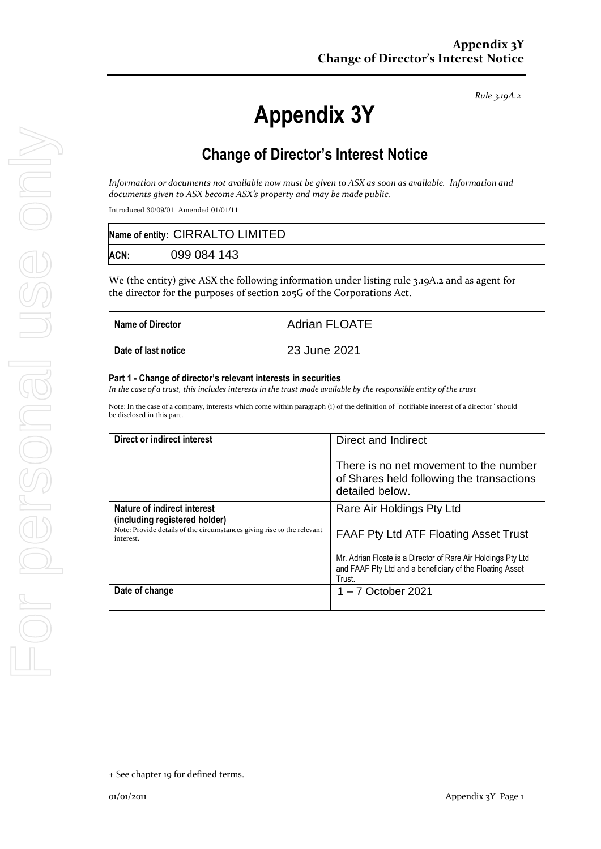*Rule 3.19A.2*

# **Appendix 3Y**

### **Change of Director's Interest Notice**

*Information or documents not available now must be given to ASX as soon as available. Information and documents given to ASX become ASX's property and may be made public.*

Introduced 30/09/01 Amended 01/01/11

|      | Name of entity: CIRRALTO LIMITED |
|------|----------------------------------|
| ACN: | 099 084 143                      |

We (the entity) give ASX the following information under listing rule 3.19A.2 and as agent for the director for the purposes of section 205G of the Corporations Act.

| Name of Director    | <b>Adrian FLOATE</b> |
|---------------------|----------------------|
| Date of last notice | 23 June 2021         |

#### **Part 1 - Change of director's relevant interests in securities**

*In the case of a trust, this includes interests in the trust made available by the responsible entity of the trust*

Note: In the case of a company, interests which come within paragraph (i) of the definition of "notifiable interest of a director" should be disclosed in this part.

| Direct or indirect interest                                                         | Direct and Indirect                                                                                                                |  |
|-------------------------------------------------------------------------------------|------------------------------------------------------------------------------------------------------------------------------------|--|
|                                                                                     | There is no net movement to the number<br>of Shares held following the transactions<br>detailed below.                             |  |
| Nature of indirect interest<br>(including registered holder)                        | Rare Air Holdings Pty Ltd                                                                                                          |  |
| Note: Provide details of the circumstances giving rise to the relevant<br>interest. | <b>FAAF Pty Ltd ATF Floating Asset Trust</b>                                                                                       |  |
|                                                                                     | Mr. Adrian Floate is a Director of Rare Air Holdings Pty Ltd<br>and FAAF Pty Ltd and a beneficiary of the Floating Asset<br>Trust. |  |
| Date of change                                                                      | $1 - 7$ October 2021                                                                                                               |  |

<sup>+</sup> See chapter 19 for defined terms.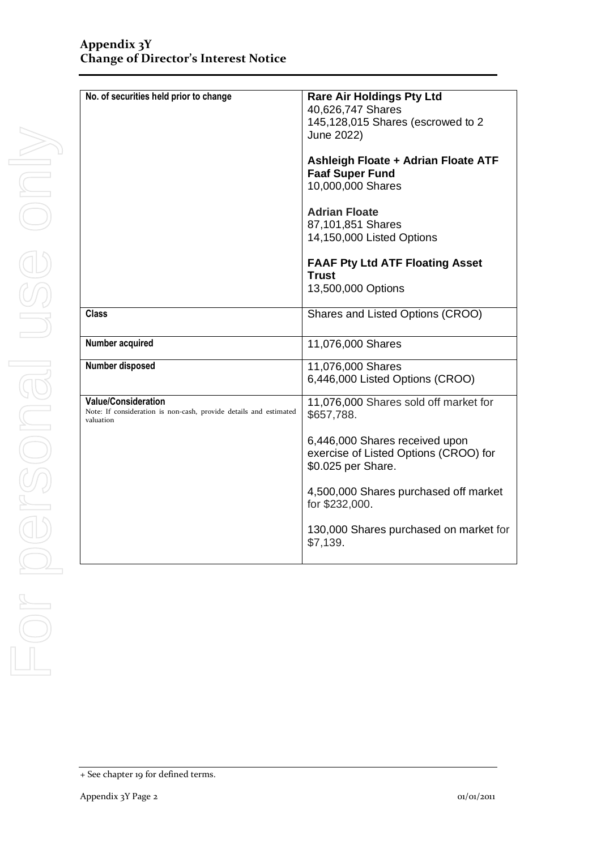| No. of securities held prior to change                                                                       | <b>Rare Air Holdings Pty Ltd</b><br>40,626,747 Shares<br>145,128,015 Shares (escrowed to 2<br>June 2022) |
|--------------------------------------------------------------------------------------------------------------|----------------------------------------------------------------------------------------------------------|
|                                                                                                              | Ashleigh Floate + Adrian Floate ATF<br><b>Faaf Super Fund</b><br>10,000,000 Shares                       |
|                                                                                                              | <b>Adrian Floate</b><br>87,101,851 Shares<br>14,150,000 Listed Options                                   |
|                                                                                                              | <b>FAAF Pty Ltd ATF Floating Asset</b><br><b>Trust</b><br>13,500,000 Options                             |
| <b>Class</b>                                                                                                 | Shares and Listed Options (CROO)                                                                         |
| Number acquired                                                                                              | 11,076,000 Shares                                                                                        |
| Number disposed                                                                                              | 11,076,000 Shares<br>6,446,000 Listed Options (CROO)                                                     |
| <b>Value/Consideration</b><br>Note: If consideration is non-cash, provide details and estimated<br>valuation | 11,076,000 Shares sold off market for<br>\$657,788.                                                      |
|                                                                                                              | 6,446,000 Shares received upon<br>exercise of Listed Options (CROO) for<br>\$0.025 per Share.            |
|                                                                                                              | 4,500,000 Shares purchased off market<br>for \$232,000.                                                  |
|                                                                                                              | 130,000 Shares purchased on market for<br>\$7,139.                                                       |

<sup>+</sup> See chapter 19 for defined terms.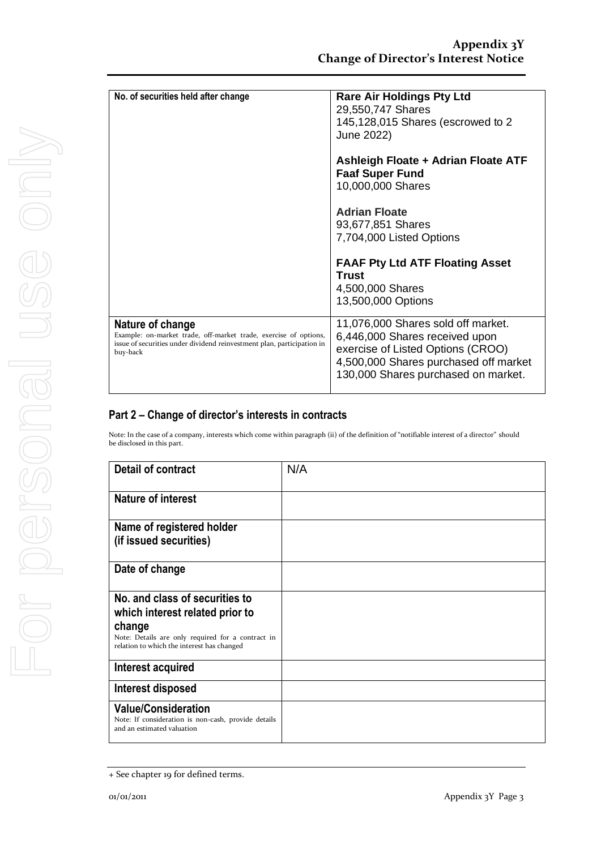| No. of securities held after change                                                                                                                                        | <b>Rare Air Holdings Pty Ltd</b><br>29,550,747 Shares<br>145,128,015 Shares (escrowed to 2<br>June 2022)                                                                                  |
|----------------------------------------------------------------------------------------------------------------------------------------------------------------------------|-------------------------------------------------------------------------------------------------------------------------------------------------------------------------------------------|
|                                                                                                                                                                            | Ashleigh Floate + Adrian Floate ATF<br><b>Faaf Super Fund</b><br>10,000,000 Shares                                                                                                        |
|                                                                                                                                                                            | <b>Adrian Floate</b><br>93,677,851 Shares<br>7,704,000 Listed Options                                                                                                                     |
|                                                                                                                                                                            | <b>FAAF Pty Ltd ATF Floating Asset</b><br><b>Trust</b><br>4,500,000 Shares<br>13,500,000 Options                                                                                          |
| Nature of change<br>Example: on-market trade, off-market trade, exercise of options,<br>issue of securities under dividend reinvestment plan, participation in<br>buy-back | 11,076,000 Shares sold off market.<br>6,446,000 Shares received upon<br>exercise of Listed Options (CROO)<br>4,500,000 Shares purchased off market<br>130,000 Shares purchased on market. |

#### **Part 2 – Change of director's interests in contracts**

Note: In the case of a company, interests which come within paragraph (ii) of the definition of "notifiable interest of a director" should be disclosed in this part.

| <b>Detail of contract</b>                                                                                                                                                      | N/A |
|--------------------------------------------------------------------------------------------------------------------------------------------------------------------------------|-----|
| Nature of interest                                                                                                                                                             |     |
| Name of registered holder<br>(if issued securities)                                                                                                                            |     |
| Date of change                                                                                                                                                                 |     |
| No. and class of securities to<br>which interest related prior to<br>change<br>Note: Details are only required for a contract in<br>relation to which the interest has changed |     |
| Interest acquired                                                                                                                                                              |     |
| Interest disposed                                                                                                                                                              |     |
| <b>Value/Consideration</b><br>Note: If consideration is non-cash, provide details<br>and an estimated valuation                                                                |     |

<sup>+</sup> See chapter 19 for defined terms.